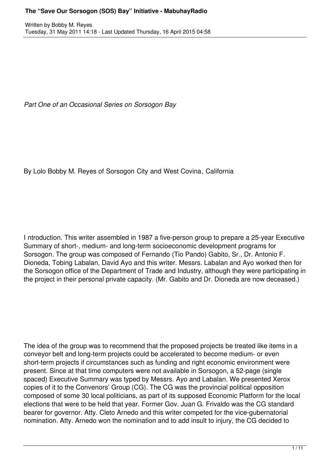*Part One of an Occasional Series on Sorsogon Bay*

By Lolo Bobby M. Reyes of Sorsogon City and West Covina, California

I ntroduction. This writer assembled in 1987 a five-person group to prepare a 25-year Executive Summary of short-, medium- and long-term socioeconomic development programs for Sorsogon. The group was composed of Fernando (Tio Pando) Gabito, Sr., Dr. Antonio F. Dioneda, Tobing Labalan, David Ayo and this writer. Messrs. Labalan and Ayo worked then for the Sorsogon office of the Department of Trade and Industry, although they were participating in the project in their personal private capacity. (Mr. Gabito and Dr. Dioneda are now deceased.)

The idea of the group was to recommend that the proposed projects be treated like items in a conveyor belt and long-term projects could be accelerated to become medium- or even short-term projects if circumstances such as funding and right economic environment were present. Since at that time computers were not available in Sorsogon, a 52-page (single spaced) Executive Summary was typed by Messrs. Ayo and Labalan. We presented Xerox copies of it to the Convenors' Group (CG). The CG was the provincial political opposition composed of some 30 local politicians, as part of its supposed Economic Platform for the local elections that were to be held that year. Former Gov. Juan G. Frivaldo was the CG standard bearer for governor. Atty. Cleto Arnedo and this writer competed for the vice-gubernatorial nomination. Atty. Arnedo won the nomination and to add insult to injury, the CG decided to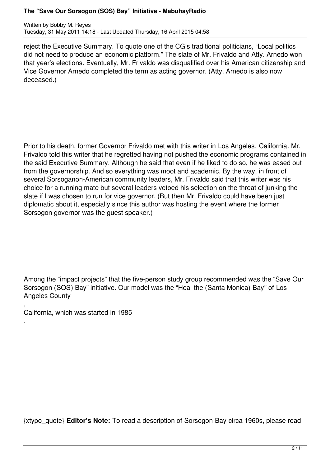Written by Bobby M. Reyes Tuesday, 31 May 2011 14:18 - Last Updated Thursday, 16 April 2015 04:58

reject the Executive Summary. To quote one of the CG's traditional politicians, "Local politics did not need to produce an economic platform." The slate of Mr. Frivaldo and Atty. Arnedo won that year's elections. Eventually, Mr. Frivaldo was disqualified over his American citizenship and Vice Governor Arnedo completed the term as acting governor. (Atty. Arnedo is also now deceased.)

Prior to his death, former Governor Frivaldo met with this writer in Los Angeles, California. Mr. Frivaldo told this writer that he regretted having not pushed the economic programs contained in the said Executive Summary. Although he said that even if he liked to do so, he was eased out from the governorship. And so everything was moot and academic. By the way, in front of several Sorsoganon-American community leaders, Mr. Frivaldo said that this writer was his choice for a running mate but several leaders vetoed his selection on the threat of junking the slate if I was chosen to run for vice governor. (But then Mr. Frivaldo could have been just diplomatic about it, especially since this author was hosting the event where the former Sorsogon governor was the guest speaker.)

Among the "impact projects" that the five-person study group recommended was the "Save Our Sorsogon (SOS) Bay" initiative. Our model was the "Heal the (Santa Monica) Bay" of Los Angeles County

, California, which was started in 1985

.

{xtypo\_quote} **Editor's Note:** To read a description of Sorsogon Bay circa 1960s, please read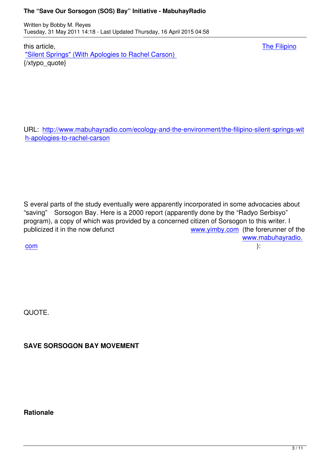this article, The Filipino "Silent Springs" (With Apologies to Rachel Carson) {/xtypo\_quote}

URL: http://www.mabuhayradio.com/ecology-and-the-environment/the-filipino-silent-springs-wit h-apologies-to-rachel-carson

S everal parts of the study eventually were apparently incorporated in some advocacies about "saving" Sorsogon Bay. Here is a 2000 report (apparently done by the "Radyo Serbisyo" program), a copy of which was provided by a concerned citizen of Sorsogon to this writer. I publicized it in the now defunct www.yimby.com (the forerunner of the www.mabuhayradio.

com de la contrada de la contrada de la contrada de la contrada de la contrada de la contrada de la contrada d<br>Com de la contrada de la contrada de la contrada de la contrada de la contrada de la contrada de la contrada d

QUOTE.

**SAVE SORSOGON BAY MOVEMENT**

**Rationale**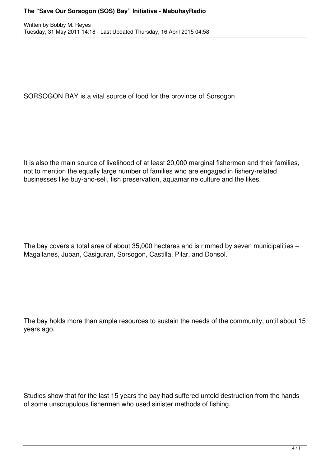SORSOGON BAY is a vital source of food for the province of Sorsogon.

It is also the main source of livelihood of at least 20,000 marginal fishermen and their families, not to mention the equally large number of families who are engaged in fishery-related businesses like buy-and-sell, fish preservation, aquamarine culture and the likes.

The bay covers a total area of about 35,000 hectares and is rimmed by seven municipalities – Magallanes, Juban, Casiguran, Sorsogon, Castilla, Pilar, and Donsol.

The bay holds more than ample resources to sustain the needs of the community, until about 15 years ago.

Studies show that for the last 15 years the bay had suffered untold destruction from the hands of some unscrupulous fishermen who used sinister methods of fishing.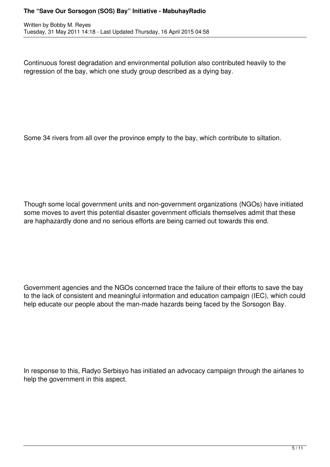Continuous forest degradation and environmental pollution also contributed heavily to the regression of the bay, which one study group described as a dying bay.

Some 34 rivers from all over the province empty to the bay, which contribute to siltation.

Though some local government units and non-government organizations (NGOs) have initiated some moves to avert this potential disaster government officials themselves admit that these are haphazardly done and no serious efforts are being carried out towards this end.

Government agencies and the NGOs concerned trace the failure of their efforts to save the bay to the lack of consistent and meaningful information and education campaign (IEC), which could help educate our people about the man-made hazards being faced by the Sorsogon Bay.

In response to this, Radyo Serbisyo has initiated an advocacy campaign through the airlanes to help the government in this aspect.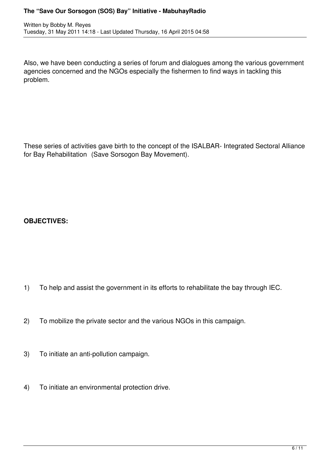Written by Bobby M. Reyes Tuesday, 31 May 2011 14:18 - Last Updated Thursday, 16 April 2015 04:58

Also, we have been conducting a series of forum and dialogues among the various government agencies concerned and the NGOs especially the fishermen to find ways in tackling this problem.

These series of activities gave birth to the concept of the ISALBAR- Integrated Sectoral Alliance for Bay Rehabilitation (Save Sorsogon Bay Movement).

**OBJECTIVES:**

- 1) To help and assist the government in its efforts to rehabilitate the bay through IEC.
- 2) To mobilize the private sector and the various NGOs in this campaign.
- 3) To initiate an anti-pollution campaign.
- 4) To initiate an environmental protection drive.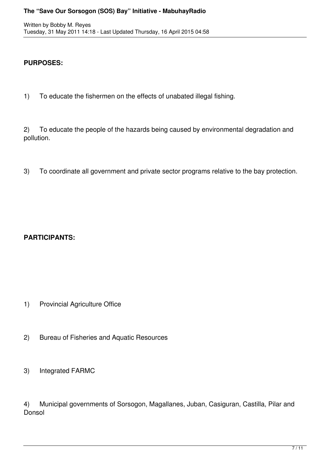### **PURPOSES:**

1) To educate the fishermen on the effects of unabated illegal fishing.

2) To educate the people of the hazards being caused by environmental degradation and pollution.

3) To coordinate all government and private sector programs relative to the bay protection.

# **PARTICIPANTS:**

- 1) Provincial Agriculture Office
- 2) Bureau of Fisheries and Aquatic Resources
- 3) Integrated FARMC

4) Municipal governments of Sorsogon, Magallanes, Juban, Casiguran, Castilla, Pilar and Donsol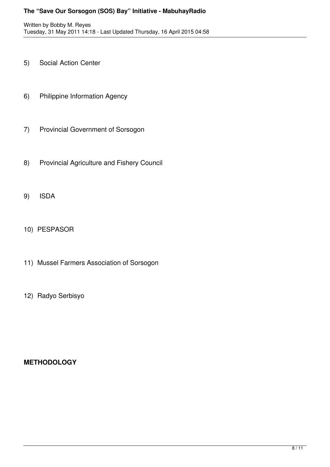- 5) Social Action Center
- 6) Philippine Information Agency
- 7) Provincial Government of Sorsogon
- 8) Provincial Agriculture and Fishery Council
- 9) ISDA
- 10) PESPASOR
- 11) Mussel Farmers Association of Sorsogon
- 12) Radyo Serbisyo

# **METHODOLOGY**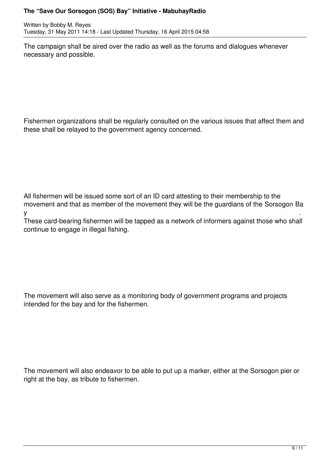Written by Bobby M. Reyes Tuesday, 31 May 2011 14:18 - Last Updated Thursday, 16 April 2015 04:58

The campaign shall be aired over the radio as well as the forums and dialogues whenever necessary and possible.

Fishermen organizations shall be regularly consulted on the various issues that affect them and these shall be relayed to the government agency concerned.

All fishermen will be issued some sort of an ID card attesting to their membership to the movement and that as member of the movement they will be the guardians of the Sorsogon Ba у на постановите се односите се односите се односите се односите се односите се односите се односите се односи<br>У селото на селото на селото на селото на селото на селото на селото на селото на селото на селото на селото н

These card-bearing fishermen will be tapped as a network of informers against those who shall continue to engage in illegal fishing.

The movement will also serve as a monitoring body of government programs and projects intended for the bay and for the fishermen.

The movement will also endeavor to be able to put up a marker, either at the Sorsogon pier or right at the bay, as tribute to fishermen.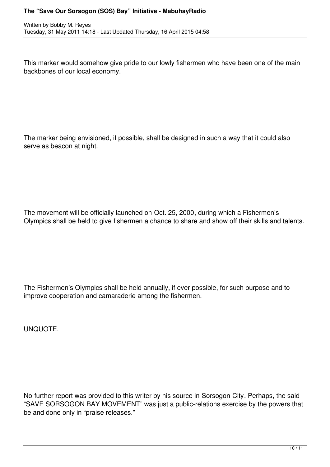This marker would somehow give pride to our lowly fishermen who have been one of the main backbones of our local economy.

The marker being envisioned, if possible, shall be designed in such a way that it could also serve as beacon at night.

The movement will be officially launched on Oct. 25, 2000, during which a Fishermen's Olympics shall be held to give fishermen a chance to share and show off their skills and talents.

The Fishermen's Olympics shall be held annually, if ever possible, for such purpose and to improve cooperation and camaraderie among the fishermen.

UNQUOTE.

No further report was provided to this writer by his source in Sorsogon City. Perhaps, the said "SAVE SORSOGON BAY MOVEMENT" was just a public-relations exercise by the powers that be and done only in "praise releases."